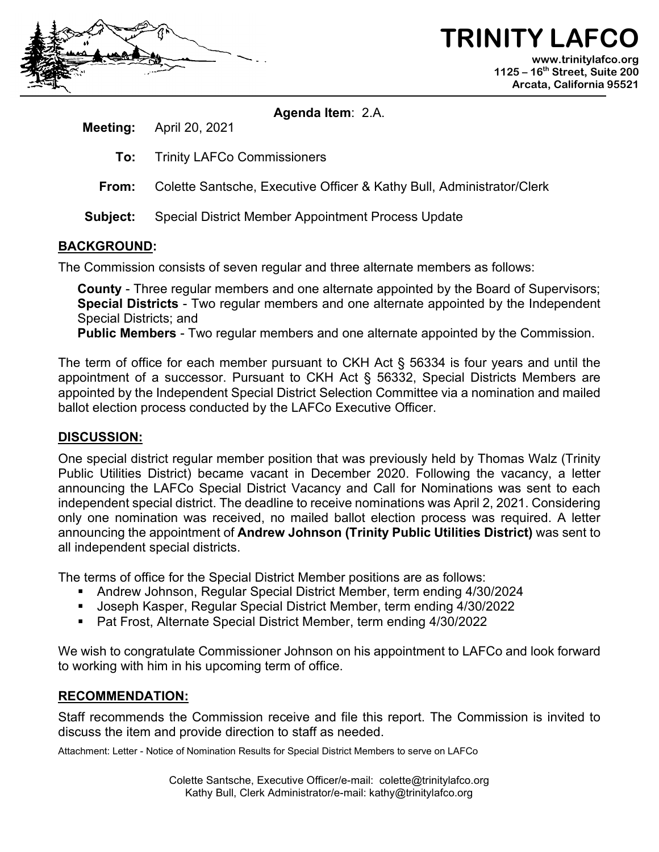

**TRINITY LAF www.trinitylafco.org 1125 – 16th Street, Suite 200 Arcata, California 95521**

**Agenda Item**: 2.A.

**Meeting:** April 20, 2021

- **To:** Trinity LAFCo Commissioners
- **From:** Colette Santsche, Executive Officer & Kathy Bull, Administrator/Clerk
- **Subject:** Special District Member Appointment Process Update

## **BACKGROUND:**

The Commission consists of seven regular and three alternate members as follows:

**County** - Three regular members and one alternate appointed by the Board of Supervisors; **Special Districts** - Two regular members and one alternate appointed by the Independent Special Districts; and

**Public Members** - Two regular members and one alternate appointed by the Commission.

The term of office for each member pursuant to CKH Act § 56334 is four years and until the appointment of a successor. Pursuant to CKH Act § 56332, Special Districts Members are appointed by the Independent Special District Selection Committee via a nomination and mailed ballot election process conducted by the LAFCo Executive Officer.

## **DISCUSSION:**

One special district regular member position that was previously held by Thomas Walz (Trinity Public Utilities District) became vacant in December 2020. Following the vacancy, a letter announcing the LAFCo Special District Vacancy and Call for Nominations was sent to each independent special district. The deadline to receive nominations was April 2, 2021. Considering only one nomination was received, no mailed ballot election process was required. A letter announcing the appointment of **Andrew Johnson (Trinity Public Utilities District)** was sent to all independent special districts.

The terms of office for the Special District Member positions are as follows:

- Andrew Johnson, Regular Special District Member, term ending 4/30/2024
- Joseph Kasper, Regular Special District Member, term ending 4/30/2022
- Pat Frost, Alternate Special District Member, term ending 4/30/2022

We wish to congratulate Commissioner Johnson on his appointment to LAFCo and look forward to working with him in his upcoming term of office.

## **RECOMMENDATION:**

Staff recommends the Commission receive and file this report. The Commission is invited to discuss the item and provide direction to staff as needed.

Attachment: Letter - Notice of Nomination Results for Special District Members to serve on LAFCo